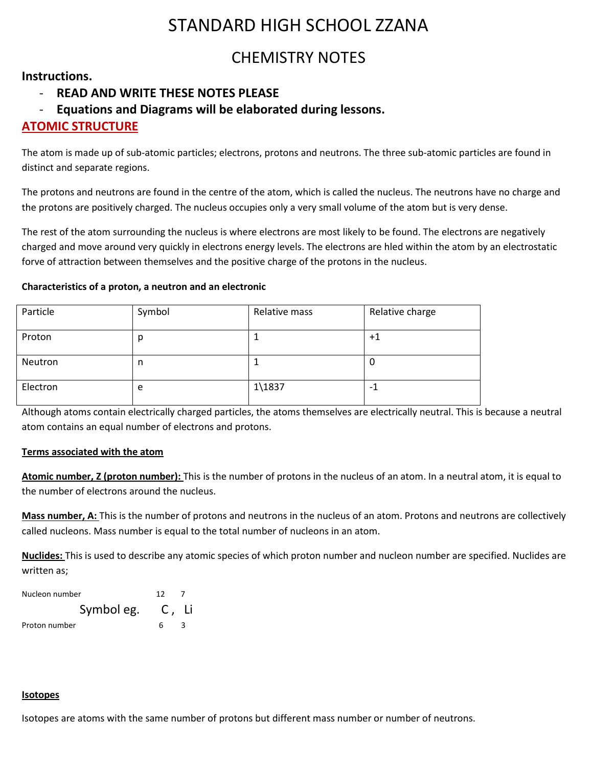# STANDARD HIGH SCHOOL ZZANA

## CHEMISTRY NOTES

### **Instructions.**

## - **READ AND WRITE THESE NOTES PLEASE**

## - **Equations and Diagrams will be elaborated during lessons.**

## **ATOMIC STRUCTURE**

The atom is made up of sub-atomic particles; electrons, protons and neutrons. The three sub-atomic particles are found in distinct and separate regions.

The protons and neutrons are found in the centre of the atom, which is called the nucleus. The neutrons have no charge and the protons are positively charged. The nucleus occupies only a very small volume of the atom but is very dense.

The rest of the atom surrounding the nucleus is where electrons are most likely to be found. The electrons are negatively charged and move around very quickly in electrons energy levels. The electrons are hled within the atom by an electrostatic forve of attraction between themselves and the positive charge of the protons in the nucleus.

#### **Characteristics of a proton, a neutron and an electronic**

| Particle | Symbol | Relative mass      | Relative charge |
|----------|--------|--------------------|-----------------|
| Proton   | p      |                    | $+1$            |
| Neutron  | n      |                    | υ               |
| Electron | e      | $1\backslash 1837$ | - 1             |

Although atoms contain electrically charged particles, the atoms themselves are electrically neutral. This is because a neutral atom contains an equal number of electrons and protons.

#### **Terms associated with the atom**

**Atomic number, Z (proton number):** This is the number of protons in the nucleus of an atom. In a neutral atom, it is equal to the number of electrons around the nucleus.

**Mass number, A:** This is the number of protons and neutrons in the nucleus of an atom. Protons and neutrons are collectively called nucleons. Mass number is equal to the total number of nucleons in an atom.

**Nuclides:** This is used to describe any atomic species of which proton number and nucleon number are specified. Nuclides are written as;

| Nucleon number |                  | 12 |   |
|----------------|------------------|----|---|
|                | Symbol eg. C, Li |    |   |
| Proton number  |                  | 6. | 3 |

#### **Isotopes**

Isotopes are atoms with the same number of protons but different mass number or number of neutrons.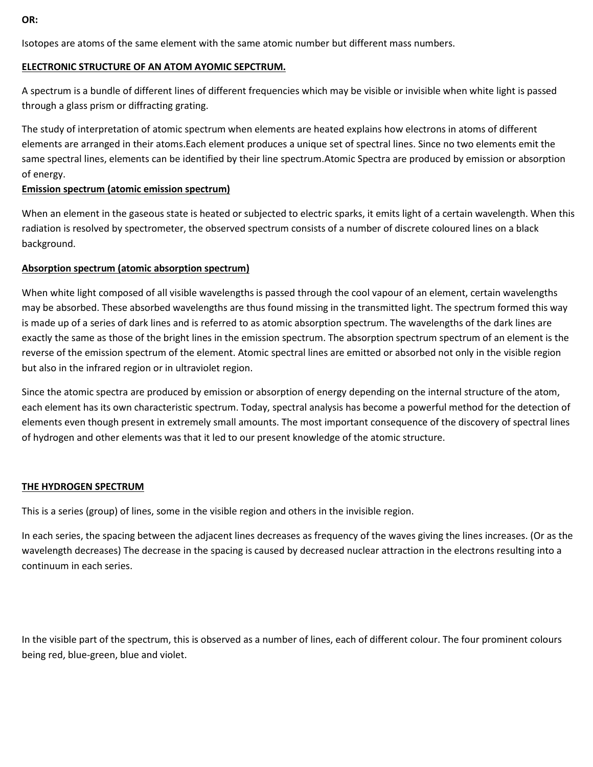**OR:** 

Isotopes are atoms of the same element with the same atomic number but different mass numbers.

#### **ELECTRONIC STRUCTURE OF AN ATOM AYOMIC SEPCTRUM.**

A spectrum is a bundle of different lines of different frequencies which may be visible or invisible when white light is passed through a glass prism or diffracting grating.

The study of interpretation of atomic spectrum when elements are heated explains how electrons in atoms of different elements are arranged in their atoms.Each element produces a unique set of spectral lines. Since no two elements emit the same spectral lines, elements can be identified by their line spectrum.Atomic Spectra are produced by emission or absorption of energy.

#### **Emission spectrum (atomic emission spectrum)**

When an element in the gaseous state is heated or subjected to electric sparks, it emits light of a certain wavelength. When this radiation is resolved by spectrometer, the observed spectrum consists of a number of discrete coloured lines on a black background.

#### **Absorption spectrum (atomic absorption spectrum)**

When white light composed of all visible wavelengths is passed through the cool vapour of an element, certain wavelengths may be absorbed. These absorbed wavelengths are thus found missing in the transmitted light. The spectrum formed this way is made up of a series of dark lines and is referred to as atomic absorption spectrum. The wavelengths of the dark lines are exactly the same as those of the bright lines in the emission spectrum. The absorption spectrum spectrum of an element is the reverse of the emission spectrum of the element. Atomic spectral lines are emitted or absorbed not only in the visible region but also in the infrared region or in ultraviolet region.

Since the atomic spectra are produced by emission or absorption of energy depending on the internal structure of the atom, each element has its own characteristic spectrum. Today, spectral analysis has become a powerful method for the detection of elements even though present in extremely small amounts. The most important consequence of the discovery of spectral lines of hydrogen and other elements was that it led to our present knowledge of the atomic structure.

#### **THE HYDROGEN SPECTRUM**

This is a series (group) of lines, some in the visible region and others in the invisible region.

In each series, the spacing between the adjacent lines decreases as frequency of the waves giving the lines increases. (Or as the wavelength decreases) The decrease in the spacing is caused by decreased nuclear attraction in the electrons resulting into a continuum in each series.

In the visible part of the spectrum, this is observed as a number of lines, each of different colour. The four prominent colours being red, blue-green, blue and violet.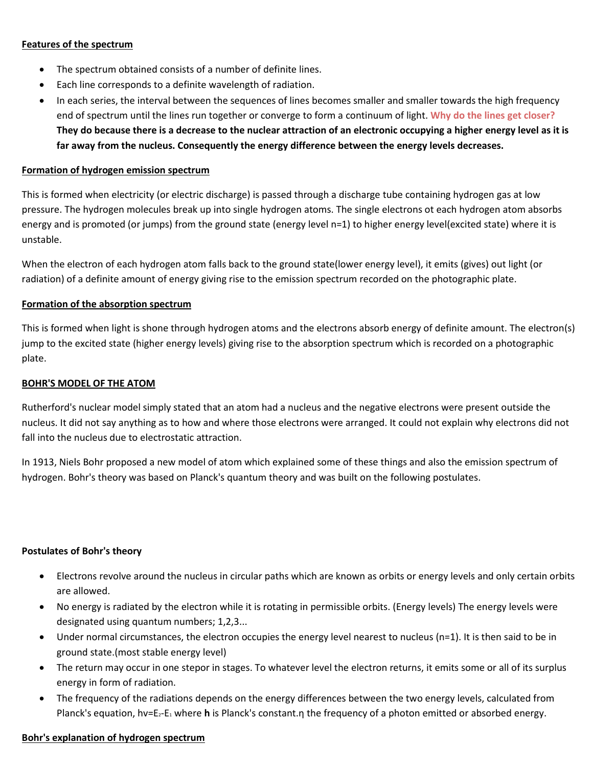#### **Features of the spectrum**

- The spectrum obtained consists of a number of definite lines.
- Each line corresponds to a definite wavelength of radiation.
- In each series, the interval between the sequences of lines becomes smaller and smaller towards the high frequency end of spectrum until the lines run together or converge to form a continuum of light. **Why do the lines get closer? They do because there is a decrease to the nuclear attraction of an electronic occupying a higher energy level as it is far away from the nucleus. Consequently the energy difference between the energy levels decreases.**

#### **Formation of hydrogen emission spectrum**

This is formed when electricity (or electric discharge) is passed through a discharge tube containing hydrogen gas at low pressure. The hydrogen molecules break up into single hydrogen atoms. The single electrons ot each hydrogen atom absorbs energy and is promoted (or jumps) from the ground state (energy level n=1) to higher energy level(excited state) where it is unstable.

When the electron of each hydrogen atom falls back to the ground state(lower energy level), it emits (gives) out light (or radiation) of a definite amount of energy giving rise to the emission spectrum recorded on the photographic plate.

#### **Formation of the absorption spectrum**

This is formed when light is shone through hydrogen atoms and the electrons absorb energy of definite amount. The electron(s) jump to the excited state (higher energy levels) giving rise to the absorption spectrum which is recorded on a photographic plate.

#### **BOHR'S MODEL OF THE ATOM**

Rutherford's nuclear model simply stated that an atom had a nucleus and the negative electrons were present outside the nucleus. It did not say anything as to how and where those electrons were arranged. It could not explain why electrons did not fall into the nucleus due to electrostatic attraction.

In 1913, Niels Bohr proposed a new model of atom which explained some of these things and also the emission spectrum of hydrogen. Bohr's theory was based on Planck's quantum theory and was built on the following postulates.

#### **Postulates of Bohr's theory**

- Electrons revolve around the nucleus in circular paths which are known as orbits or energy levels and only certain orbits are allowed.
- No energy is radiated by the electron while it is rotating in permissible orbits. (Energy levels) The energy levels were designated using quantum numbers; 1,2,3...
- Under normal circumstances, the electron occupies the energy level nearest to nucleus (n=1). It is then said to be in ground state.(most stable energy level)
- The return may occur in one stepor in stages. To whatever level the electron returns, it emits some or all of its surplus energy in form of radiation.
- The frequency of the radiations depends on the energy differences between the two energy levels, calculated from Planck's equation, hv=E2-E<sup>1</sup> where **h** is Planck's constant.η the frequency of a photon emitted or absorbed energy.

#### **Bohr's explanation of hydrogen spectrum**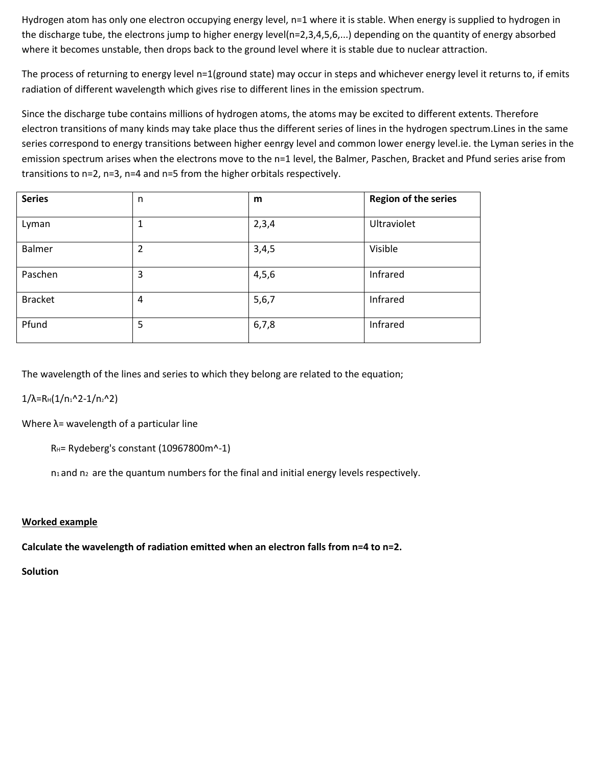Hydrogen atom has only one electron occupying energy level, n=1 where it is stable. When energy is supplied to hydrogen in the discharge tube, the electrons jump to higher energy level(n=2,3,4,5,6,...) depending on the quantity of energy absorbed where it becomes unstable, then drops back to the ground level where it is stable due to nuclear attraction.

The process of returning to energy level n=1(ground state) may occur in steps and whichever energy level it returns to, if emits radiation of different wavelength which gives rise to different lines in the emission spectrum.

Since the discharge tube contains millions of hydrogen atoms, the atoms may be excited to different extents. Therefore electron transitions of many kinds may take place thus the different series of lines in the hydrogen spectrum.Lines in the same series correspond to energy transitions between higher eenrgy level and common lower energy level.ie. the Lyman series in the emission spectrum arises when the electrons move to the n=1 level, the Balmer, Paschen, Bracket and Pfund series arise from transitions to n=2, n=3, n=4 and n=5 from the higher orbitals respectively.

| <b>Series</b>  | n | m     | <b>Region of the series</b> |
|----------------|---|-------|-----------------------------|
| Lyman          | 1 | 2,3,4 | Ultraviolet                 |
| Balmer         | 2 | 3,4,5 | Visible                     |
| Paschen        | 3 | 4,5,6 | Infrared                    |
| <b>Bracket</b> | 4 | 5,6,7 | Infrared                    |
| Pfund          | 5 | 6,7,8 | Infrared                    |

The wavelength of the lines and series to which they belong are related to the equation;

 $1/\lambda$ =RH(1/n<sub>1</sub>^2-1/n<sub>2</sub>^2)

Where  $\lambda$ = wavelength of a particular line

RH= Rydeberg's constant (10967800m^-1)

 $n_1$  and  $n_2$  are the quantum numbers for the final and initial energy levels respectively.

#### **Worked example**

**Calculate the wavelength of radiation emitted when an electron falls from n=4 to n=2.**

**Solution**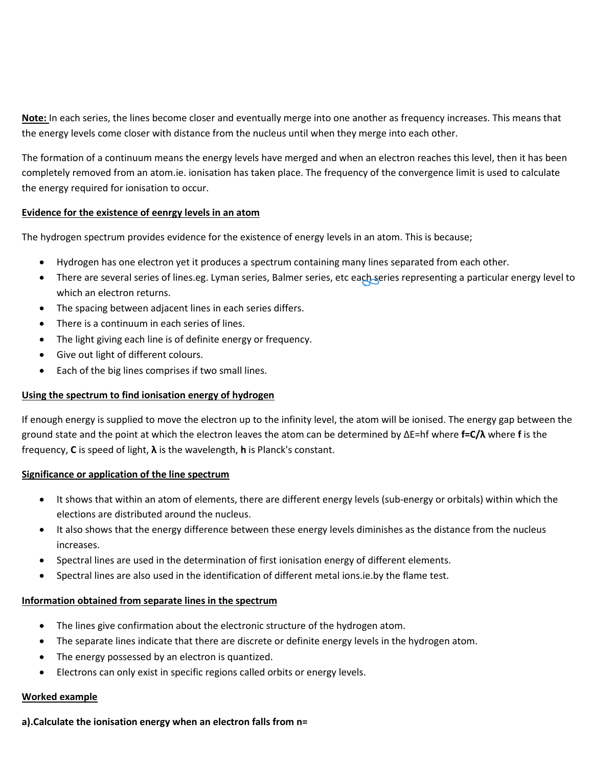**Note:** In each series, the lines become closer and eventually merge into one another as frequency increases. This means that the energy levels come closer with distance from the nucleus until when they merge into each other.

The formation of a continuum means the energy levels have merged and when an electron reaches this level, then it has been completely removed from an atom.ie. ionisation has taken place. The frequency of the convergence limit is used to calculate the energy required for ionisation to occur.

#### **Evidence for the existence of eenrgy levels in an atom**

The hydrogen spectrum provides evidence for the existence of energy levels in an atom. This is because;

- Hydrogen has one electron yet it produces a spectrum containing many lines separated from each other.
- There are several series of lines.eg. Lyman series, Balmer series, etc each series representing a particular energy level to which an electron returns.
- The spacing between adjacent lines in each series differs.
- There is a continuum in each series of lines.
- The light giving each line is of definite energy or frequency.
- Give out light of different colours.
- Each of the big lines comprises if two small lines.

#### **Using the spectrum to find ionisation energy of hydrogen**

If enough energy is supplied to move the electron up to the infinity level, the atom will be ionised. The energy gap between the ground state and the point at which the electron leaves the atom can be determined by ΔE=hf where **f=C/λ** where **f** is the frequency, **C** is speed of light, **λ** is the wavelength, **h** is Planck's constant.

#### **Significance or application of the line spectrum**

- It shows that within an atom of elements, there are different energy levels (sub-energy or orbitals) within which the elections are distributed around the nucleus.
- It also shows that the energy difference between these energy levels diminishes as the distance from the nucleus increases.
- Spectral lines are used in the determination of first ionisation energy of different elements.
- Spectral lines are also used in the identification of different metal ions.ie.by the flame test.

#### **Information obtained from separate lines in the spectrum**

- The lines give confirmation about the electronic structure of the hydrogen atom.
- The separate lines indicate that there are discrete or definite energy levels in the hydrogen atom.
- The energy possessed by an electron is quantized.
- Electrons can only exist in specific regions called orbits or energy levels.

#### **Worked example**

#### **a).Calculate the ionisation energy when an electron falls from n=**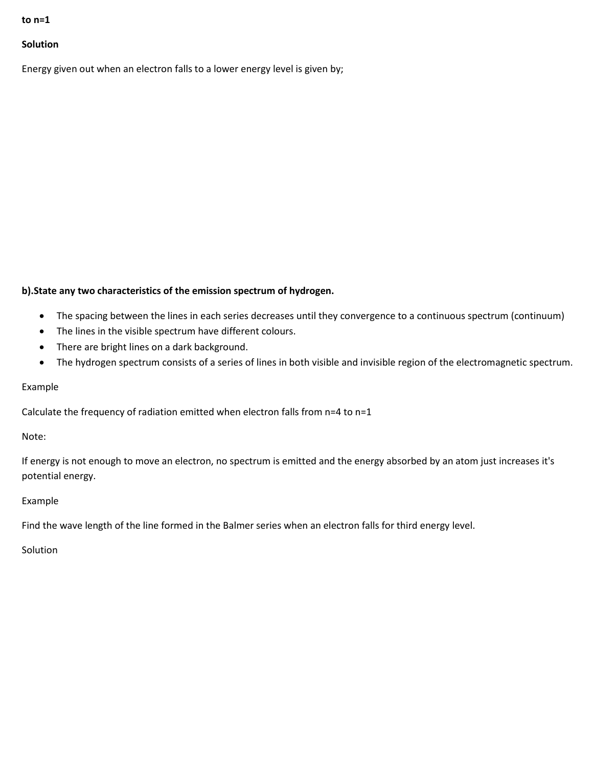#### **to n=1**

#### **Solution**

Energy given out when an electron falls to a lower energy level is given by;

#### **b).State any two characteristics of the emission spectrum of hydrogen.**

- The spacing between the lines in each series decreases until they convergence to a continuous spectrum (continuum)
- The lines in the visible spectrum have different colours.
- There are bright lines on a dark background.
- The hydrogen spectrum consists of a series of lines in both visible and invisible region of the electromagnetic spectrum.

#### Example

Calculate the frequency of radiation emitted when electron falls from n=4 to n=1

Note:

If energy is not enough to move an electron, no spectrum is emitted and the energy absorbed by an atom just increases it's potential energy.

#### Example

Find the wave length of the line formed in the Balmer series when an electron falls for third energy level.

**Solution**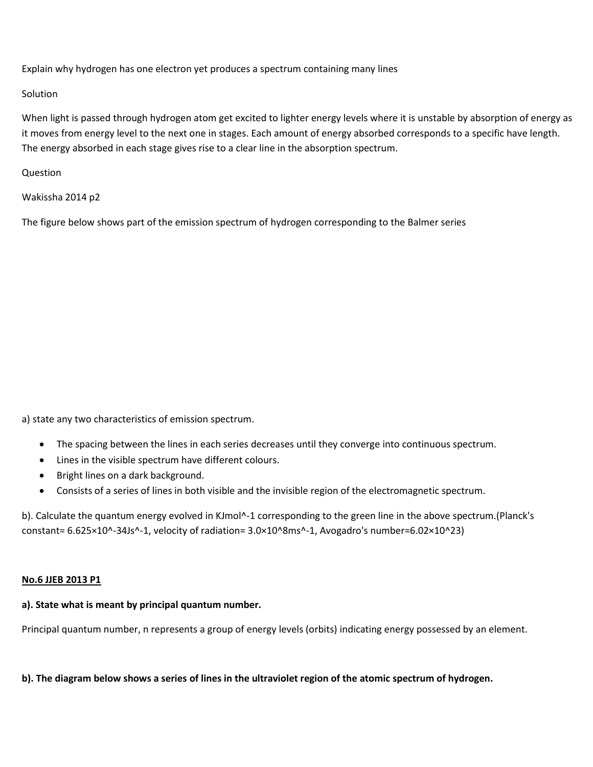Explain why hydrogen has one electron yet produces a spectrum containing many lines

#### **Solution**

When light is passed through hydrogen atom get excited to lighter energy levels where it is unstable by absorption of energy as it moves from energy level to the next one in stages. Each amount of energy absorbed corresponds to a specific have length. The energy absorbed in each stage gives rise to a clear line in the absorption spectrum.

Question

Wakissha 2014 p2

The figure below shows part of the emission spectrum of hydrogen corresponding to the Balmer series

a) state any two characteristics of emission spectrum.

- The spacing between the lines in each series decreases until they converge into continuous spectrum.
- Lines in the visible spectrum have different colours.
- Bright lines on a dark background.
- Consists of a series of lines in both visible and the invisible region of the electromagnetic spectrum.

b). Calculate the quantum energy evolved in KJmol^-1 corresponding to the green line in the above spectrum.(Planck's constant= 6.625×10^-34Js^-1, velocity of radiation= 3.0×10^8ms^-1, Avogadro's number=6.02×10^23)

#### **No.6 JJEB 2013 P1**

## **a). State what is meant by principal quantum number.**

Principal quantum number, n represents a group of energy levels (orbits) indicating energy possessed by an element.

**b). The diagram below shows a series of lines in the ultraviolet region of the atomic spectrum of hydrogen.**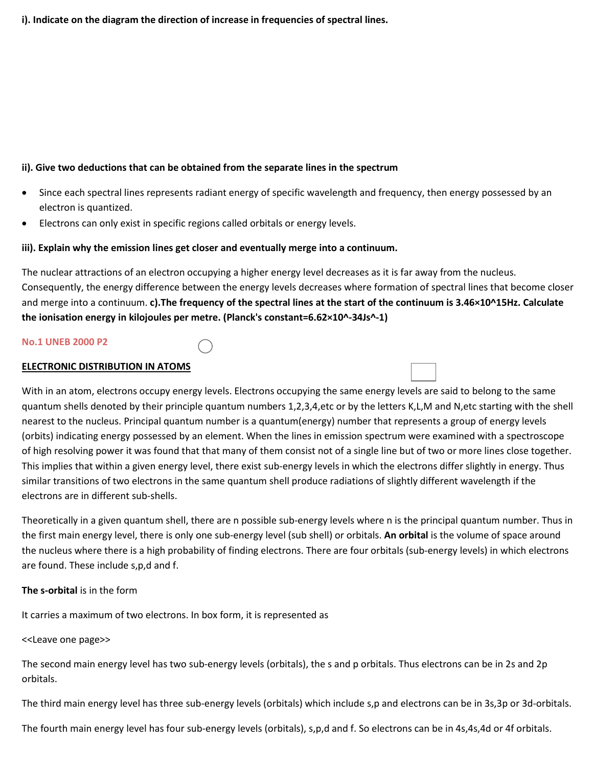#### **i). Indicate on the diagram the direction of increase in frequencies of spectral lines.**

#### **ii). Give two deductions that can be obtained from the separate lines in the spectrum**

- Since each spectral lines represents radiant energy of specific wavelength and frequency, then energy possessed by an electron is quantized.
- Electrons can only exist in specific regions called orbitals or energy levels.

#### **iii). Explain why the emission lines get closer and eventually merge into a continuum.**

The nuclear attractions of an electron occupying a higher energy level decreases as it is far away from the nucleus. Consequently, the energy difference between the energy levels decreases where formation of spectral lines that become closer and merge into a continuum. **c).The frequency of the spectral lines at the start of the continuum is 3.46×10^15Hz. Calculate the ionisation energy in kilojoules per metre. (Planck's constant=6.62×10^-34Js^-1)**

#### **No.1 UNEB 2000 P2**

#### **ELECTRONIC DISTRIBUTION IN ATOMS**

With in an atom, electrons occupy energy levels. Electrons occupying the same energy levels are said to belong to the same quantum shells denoted by their principle quantum numbers 1,2,3,4,etc or by the letters K,L,M and N,etc starting with the shell nearest to the nucleus. Principal quantum number is a quantum(energy) number that represents a group of energy levels (orbits) indicating energy possessed by an element. When the lines in emission spectrum were examined with a spectroscope of high resolving power it was found that that many of them consist not of a single line but of two or more lines close together. This implies that within a given energy level, there exist sub-energy levels in which the electrons differ slightly in energy. Thus similar transitions of two electrons in the same quantum shell produce radiations of slightly different wavelength if the electrons are in different sub-shells.

Theoretically in a given quantum shell, there are n possible sub-energy levels where n is the principal quantum number. Thus in the first main energy level, there is only one sub-energy level (sub shell) or orbitals. **An orbital** is the volume of space around the nucleus where there is a high probability of finding electrons. There are four orbitals (sub-energy levels) in which electrons are found. These include s,p,d and f.

#### **The s-orbital** is in the form

It carries a maximum of two electrons. In box form, it is represented as

<<Leave one page>>

The second main energy level has two sub-energy levels (orbitals), the s and p orbitals. Thus electrons can be in 2s and 2p orbitals.

The third main energy level has three sub-energy levels (orbitals) which include s,p and electrons can be in 3s,3p or 3d-orbitals.

The fourth main energy level has four sub-energy levels (orbitals), s,p,d and f. So electrons can be in 4s,4s,4d or 4f orbitals.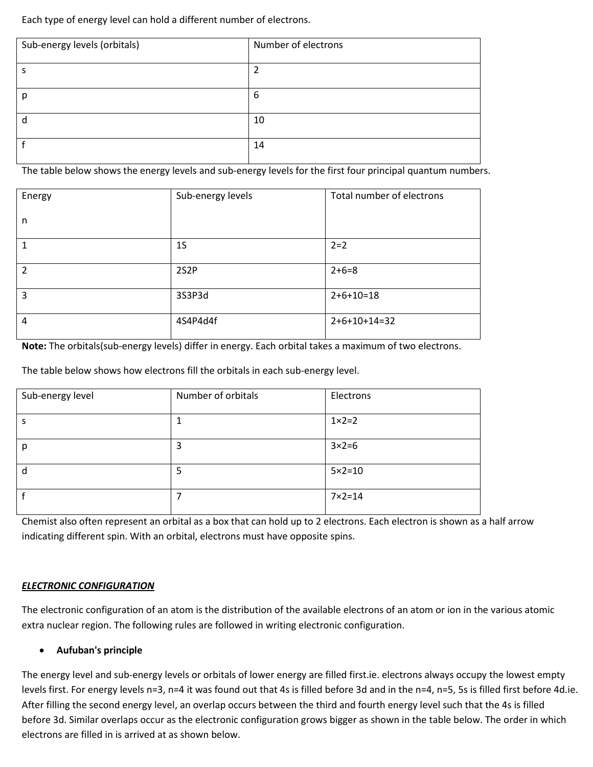Each type of energy level can hold a different number of electrons.

| Sub-energy levels (orbitals) | Number of electrons |
|------------------------------|---------------------|
|                              | ำ                   |
|                              |                     |
| р                            | 6                   |
|                              | 10                  |
|                              |                     |
|                              | 14                  |

The table below shows the energy levels and sub-energy levels for the first four principal quantum numbers.

| Energy                   | Sub-energy levels | Total number of electrons |
|--------------------------|-------------------|---------------------------|
| n                        |                   |                           |
|                          | 1 <sub>S</sub>    | $2=2$                     |
| $\overline{\mathcal{L}}$ | 2S <sub>2</sub> P | $2+6=8$                   |
| 3                        | 3S3P3d            | $2+6+10=18$               |
| $\overline{4}$           | 4S4P4d4f          | $2+6+10+14=32$            |

**Note:** The orbitals(sub-energy levels) differ in energy. Each orbital takes a maximum of two electrons.

The table below shows how electrons fill the orbitals in each sub-energy level.

| Sub-energy level | Number of orbitals | Electrons         |
|------------------|--------------------|-------------------|
|                  |                    | $1 \times 2 = 2$  |
| р                | 3                  | $3 \times 2 = 6$  |
| d                | 5                  | $5 \times 2 = 10$ |
|                  |                    | $7 \times 2 = 14$ |

Chemist also often represent an orbital as a box that can hold up to 2 electrons. Each electron is shown as a half arrow indicating different spin. With an orbital, electrons must have opposite spins.

#### *ELECTRONIC CONFIGURATION*

The electronic configuration of an atom is the distribution of the available electrons of an atom or ion in the various atomic extra nuclear region. The following rules are followed in writing electronic configuration.

#### **Aufuban's principle**

The energy level and sub-energy levels or orbitals of lower energy are filled first.ie. electrons always occupy the lowest empty levels first. For energy levels n=3, n=4 it was found out that 4s is filled before 3d and in the n=4, n=5, 5s is filled first before 4d.ie. After filling the second energy level, an overlap occurs between the third and fourth energy level such that the 4s is filled before 3d. Similar overlaps occur as the electronic configuration grows bigger as shown in the table below. The order in which electrons are filled in is arrived at as shown below.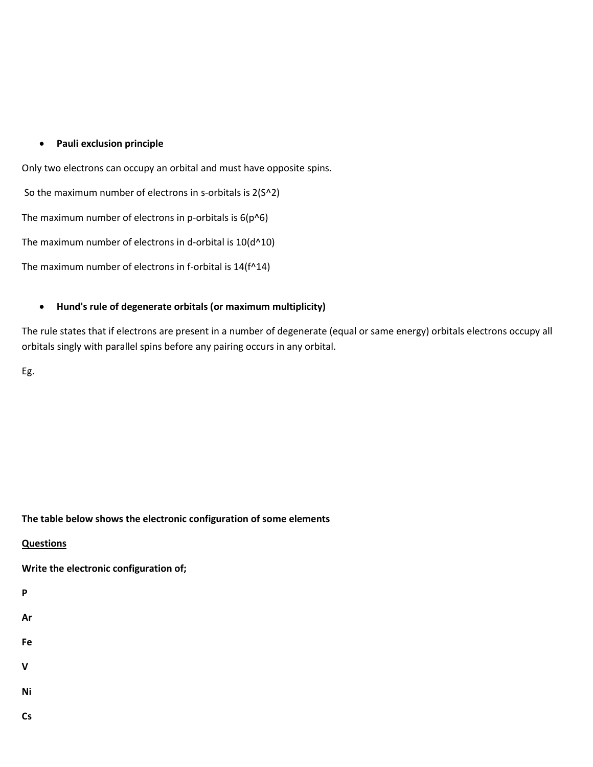#### **Pauli exclusion principle**

Only two electrons can occupy an orbital and must have opposite spins.

So the maximum number of electrons in s-orbitals is 2(S^2)

The maximum number of electrons in p-orbitals is  $6(p^66)$ 

The maximum number of electrons in d-orbital is  $10(d^{\wedge}10)$ 

The maximum number of electrons in f-orbital is 14(f^14)

#### **Hund's rule of degenerate orbitals (or maximum multiplicity)**

The rule states that if electrons are present in a number of degenerate (equal or same energy) orbitals electrons occupy all orbitals singly with parallel spins before any pairing occurs in any orbital.

Eg.

#### **The table below shows the electronic configuration of some elements**

#### **Questions**

**Write the electronic configuration of;**

**P**

**Ar**

**Fe**

**V**

**Ni**

**Cs**